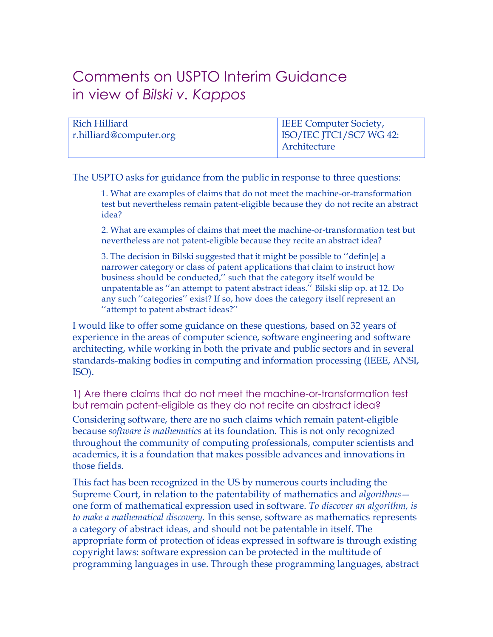## Comments on USPTO Interim Guidance in view of *Bilski v. Kappos*

| Rich Hilliard           | <b>IEEE</b> Computer Society, |
|-------------------------|-------------------------------|
| r.hilliard@computer.org | ISO/IEC JTC1/SC7 WG 42:       |
|                         | Architecture                  |

The USPTO asks for guidance from the public in response to three questions:

1. What are examples of claims that do not meet the machine-or-transformation test but nevertheless remain patent-eligible because they do not recite an abstract idea?

2. What are examples of claims that meet the machine-or-transformation test but nevertheless are not patent-eligible because they recite an abstract idea?

3. The decision in Bilski suggested that it might be possible to ''defin[e] a narrower category or class of patent applications that claim to instruct how business should be conducted,'' such that the category itself would be unpatentable as ''an attempt to patent abstract ideas.'' Bilski slip op. at 12. Do any such ''categories'' exist? If so, how does the category itself represent an ''attempt to patent abstract ideas?''

I would like to offer some guidance on these questions, based on 32 years of experience in the areas of computer science, software engineering and software architecting, while working in both the private and public sectors and in several standards-making bodies in computing and information processing (IEEE, ANSI, ISO).

1) Are there claims that do not meet the machine-or-transformation test but remain patent-eligible as they do not recite an abstract idea?

Considering software, there are no such claims which remain patent-eligible because *software is mathematics* at its foundation. This is not only recognized throughout the community of computing professionals, computer scientists and academics, it is a foundation that makes possible advances and innovations in those fields.

This fact has been recognized in the US by numerous courts including the Supreme Court, in relation to the patentability of mathematics and *algorithms* one form of mathematical expression used in software. *To discover an algorithm, is to make a mathematical discovery.* In this sense, software as mathematics represents a category of abstract ideas, and should not be patentable in itself. The appropriate form of protection of ideas expressed in software is through existing copyright laws: software expression can be protected in the multitude of programming languages in use. Through these programming languages, abstract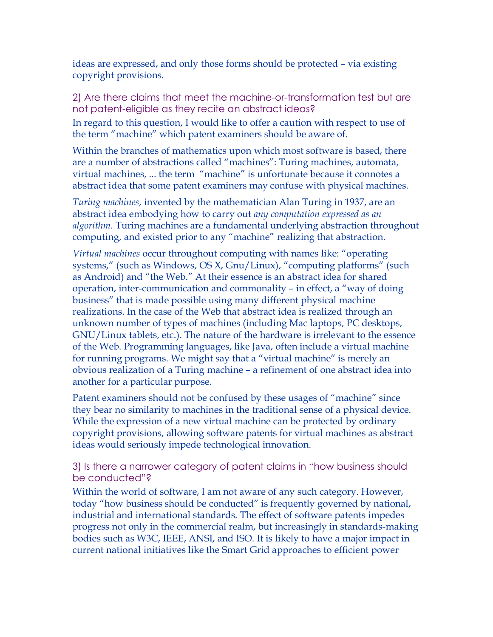ideas are expressed, and only those forms should be protected – via existing copyright provisions.

2) Are there claims that meet the machine-or-transformation test but are not patent-eligible as they recite an abstract ideas?

In regard to this question, I would like to offer a caution with respect to use of the term "machine" which patent examiners should be aware of.

Within the branches of mathematics upon which most software is based, there are a number of abstractions called "machines": Turing machines, automata, virtual machines, ... the term "machine" is unfortunate because it connotes a abstract idea that some patent examiners may confuse with physical machines.

*Turing machines*, invented by the mathematician Alan Turing in 1937, are an abstract idea embodying how to carry out *any computation expressed as an algorithm*. Turing machines are a fundamental underlying abstraction throughout computing, and existed prior to any "machine" realizing that abstraction.

*Virtual machines* occur throughout computing with names like: "operating systems," (such as Windows, OS X, Gnu/Linux), "computing platforms" (such as Android) and "the Web." At their essence is an abstract idea for shared operation, inter-communication and commonality – in effect, a "way of doing business" that is made possible using many different physical machine realizations. In the case of the Web that abstract idea is realized through an unknown number of types of machines (including Mac laptops, PC desktops, GNU/Linux tablets, etc.). The nature of the hardware is irrelevant to the essence of the Web. Programming languages, like Java, often include a virtual machine for running programs. We might say that a "virtual machine" is merely an obvious realization of a Turing machine – a refinement of one abstract idea into another for a particular purpose.

Patent examiners should not be confused by these usages of "machine" since they bear no similarity to machines in the traditional sense of a physical device. While the expression of a new virtual machine can be protected by ordinary copyright provisions, allowing software patents for virtual machines as abstract ideas would seriously impede technological innovation.

## 3) Is there a narrower category of patent claims in "how business should be conducted"?

Within the world of software, I am not aware of any such category. However, today "how business should be conducted" is frequently governed by national, industrial and international standards. The effect of software patents impedes progress not only in the commercial realm, but increasingly in standards-making bodies such as W3C, IEEE, ANSI, and ISO. It is likely to have a major impact in current national initiatives like the Smart Grid approaches to efficient power